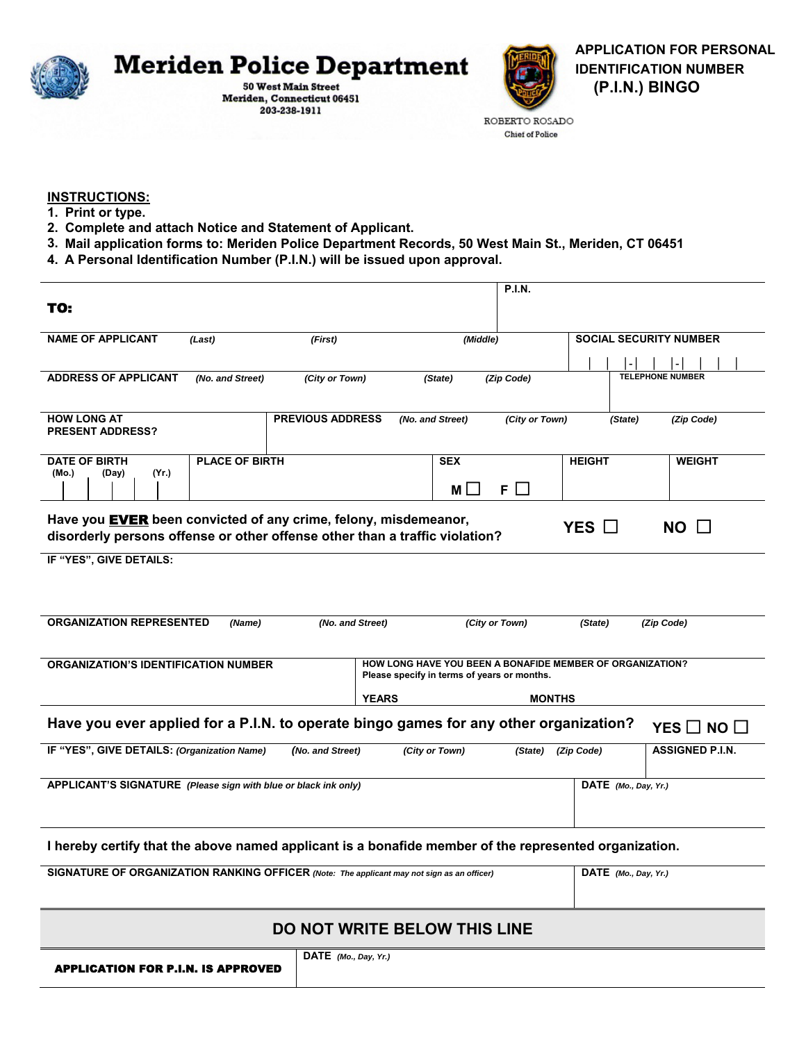

Meriden, Connecticut 06451 203-238-1911



ROBERTO ROSADO **Chief of Police** 

## **INSTRUCTIONS:**

- **1. Print or type.**
- **2. Complete and attach Notice and Statement of Applicant.**

APPLICATION FOR P.I.N. IS APPROVED

- **3. Mail application forms to: Meriden Police Department Records, 50 West Main St., Meriden, CT 06451**
- **4. A Personal Identification Number (P.I.N.) will be issued upon approval.**

|                                                                                                                                                                                  | <b>P.I.N.</b>                                                                                            |                               |                         |  |
|----------------------------------------------------------------------------------------------------------------------------------------------------------------------------------|----------------------------------------------------------------------------------------------------------|-------------------------------|-------------------------|--|
| TO:                                                                                                                                                                              |                                                                                                          |                               |                         |  |
| <b>NAME OF APPLICANT</b><br>(Last)<br>(First)                                                                                                                                    | (Middle)                                                                                                 | <b>SOCIAL SECURITY NUMBER</b> |                         |  |
|                                                                                                                                                                                  |                                                                                                          |                               |                         |  |
| <b>ADDRESS OF APPLICANT</b><br>(No. and Street)<br>(City or Town)                                                                                                                | (Zip Code)<br>(State)                                                                                    |                               | <b>TELEPHONE NUMBER</b> |  |
| <b>HOW LONG AT</b><br><b>PREVIOUS ADDRESS</b>                                                                                                                                    |                                                                                                          |                               |                         |  |
| <b>PRESENT ADDRESS?</b>                                                                                                                                                          | (No. and Street)                                                                                         | (City or Town)<br>(State)     | (Zip Code)              |  |
| <b>PLACE OF BIRTH</b><br><b>DATE OF BIRTH</b>                                                                                                                                    | <b>SEX</b>                                                                                               | <b>HEIGHT</b>                 | <b>WEIGHT</b>           |  |
| (Yr.)<br>(Mo.)<br>(Day)                                                                                                                                                          | $F \Box$<br>M <sub>l</sub>                                                                               |                               |                         |  |
| Have you EVER been convicted of any crime, felony, misdemeanor,<br>$YES$ $\square$<br>$NO$ $\Box$<br>disorderly persons offense or other offense other than a traffic violation? |                                                                                                          |                               |                         |  |
| IF "YES", GIVE DETAILS:                                                                                                                                                          |                                                                                                          |                               |                         |  |
|                                                                                                                                                                                  |                                                                                                          |                               |                         |  |
| <b>ORGANIZATION REPRESENTED</b><br>(Name)<br>(No. and Street)<br>(City or Town)<br>(Zip Code)<br>(State)                                                                         |                                                                                                          |                               |                         |  |
| <b>ORGANIZATION'S IDENTIFICATION NUMBER</b>                                                                                                                                      | HOW LONG HAVE YOU BEEN A BONAFIDE MEMBER OF ORGANIZATION?<br>Please specify in terms of years or months. |                               |                         |  |
|                                                                                                                                                                                  | <b>YEARS</b><br><b>MONTHS</b>                                                                            |                               |                         |  |
| Have you ever applied for a P.I.N. to operate bingo games for any other organization?<br>YES $\square$ NO $\square$                                                              |                                                                                                          |                               |                         |  |
| IF "YES", GIVE DETAILS: (Organization Name)<br>(No. and Street)                                                                                                                  | (City or Town)                                                                                           | (Zip Code)<br>(State)         | <b>ASSIGNED P.I.N.</b>  |  |
| APPLICANT'S SIGNATURE (Please sign with blue or black ink only)                                                                                                                  |                                                                                                          | $DATE$ (Mo., Day, Yr.)        |                         |  |
|                                                                                                                                                                                  |                                                                                                          |                               |                         |  |
| I hereby certify that the above named applicant is a bonafide member of the represented organization.                                                                            |                                                                                                          |                               |                         |  |
| SIGNATURE OF ORGANIZATION RANKING OFFICER (Note: The applicant may not sign as an officer)                                                                                       |                                                                                                          |                               | DATE (Mo., Day, Yr.)    |  |
| <b>DO NOT WRITE BELOW THIS LINE</b>                                                                                                                                              |                                                                                                          |                               |                         |  |
|                                                                                                                                                                                  |                                                                                                          |                               |                         |  |
| DATE (Mo., Day, Yr.)                                                                                                                                                             |                                                                                                          |                               |                         |  |